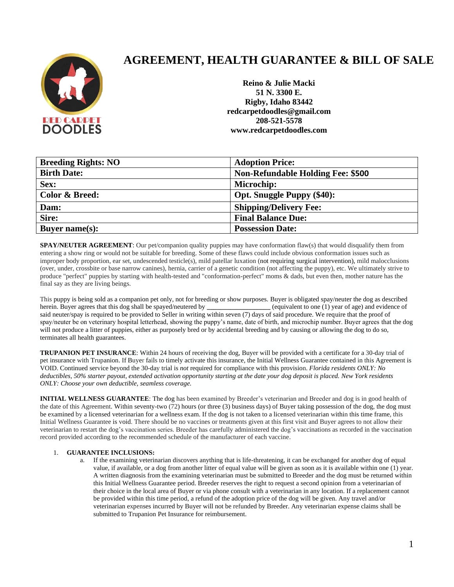

# **AGREEMENT, HEALTH GUARANTEE & BILL OF SALE**

**Reino & Julie Macki 51 N. 3300 E. Rigby, Idaho 83442 redcarpetdoodles@gmail.com 208-521-5578 www.redcarpetdoodles.com**

| <b>Breeding Rights: NO</b> | <b>Adoption Price:</b>                   |
|----------------------------|------------------------------------------|
| <b>Birth Date:</b>         | <b>Non-Refundable Holding Fee: \$500</b> |
| Sex:                       | Microchip:                               |
| <b>Color &amp; Breed:</b>  | <b>Opt. Snuggle Puppy (\$40):</b>        |
| Dam:                       | <b>Shipping/Delivery Fee:</b>            |
| Sire:                      | <b>Final Balance Due:</b>                |
| Buyer name $(s)$ :         | <b>Possession Date:</b>                  |

**SPAY/NEUTER AGREEMENT:** Our pet/companion quality puppies may have conformation flaw(s) that would disqualify them from entering a show ring or would not be suitable for breeding. Some of these flaws could include obvious conformation issues such as improper body proportion, ear set, undescended testicle(s), mild patellar luxation (not requiring surgical intervention), mild malocclusions (over, under, crossbite or base narrow canines), hernia, carrier of a genetic condition (not affecting the puppy), etc. We ultimately strive to produce "perfect" puppies by starting with health-tested and "conformation-perfect" moms & dads, but even then, mother nature has the final say as they are living beings.

This puppy is being sold as a companion pet only, not for breeding or show purposes. Buyer is obligated spay/neuter the dog as described herein. Buyer agrees that this dog shall be spayed/neutered by **and equivalent to one (1)** year of age) and evidence of said neuter/spay is required to be provided to Seller in writing within seven (7) days of said procedure. We require that the proof of spay/neuter be on veterinary hospital letterhead, showing the puppy's name, date of birth, and microchip number. Buyer agrees that the dog will not produce a litter of puppies, either as purposely bred or by accidental breeding and by causing or allowing the dog to do so, terminates all health guarantees.

**TRUPANION PET INSURANCE**: Within 24 hours of receiving the dog, Buyer will be provided with a certificate for a 30-day trial of pet insurance with Trupanion. If Buyer fails to timely activate this insurance, the Initial Wellness Guarantee contained in this Agreement is VOID. Continued service beyond the 30-day trial is *not* required for compliance with this provision. *Florida residents ONLY: No deductibles, 50% starter payout, extended activation opportunity starting at the date your dog deposit is placed. New York residents ONLY: Choose your own deductible, seamless coverage.*

**INITIAL WELLNESS GUARANTEE**: The dog has been examined by Breeder's veterinarian and Breeder and dog is in good health of the date of this Agreement. Within seventy-two (72) hours (or three (3) business days) of Buyer taking possession of the dog, the dog must be examined by a licensed veterinarian for a wellness exam. If the dog is not taken to a licensed veterinarian within this time frame, this Initial Wellness Guarantee is void. There should be no vaccines or treatments given at this first visit and Buyer agrees to not allow their veterinarian to restart the dog's vaccination series. Breeder has carefully administered the dog's vaccinations as recorded in the vaccination record provided according to the recommended schedule of the manufacturer of each vaccine.

## 1. **GUARANTEE INCLUSIONS:**

a. If the examining veterinarian discovers anything that is life-threatening, it can be exchanged for another dog of equal value, if available, or a dog from another litter of equal value will be given as soon as it is available within one (1) year. A written diagnosis from the examining veterinarian must be submitted to Breeder and the dog must be returned within this Initial Wellness Guarantee period. Breeder reserves the right to request a second opinion from a veterinarian of their choice in the local area of Buyer or via phone consult with a veterinarian in any location. If a replacement cannot be provided within this time period, a refund of the adoption price of the dog will be given. Any travel and/or veterinarian expenses incurred by Buyer will not be refunded by Breeder. Any veterinarian expense claims shall be submitted to Trupanion Pet Insurance for reimbursement.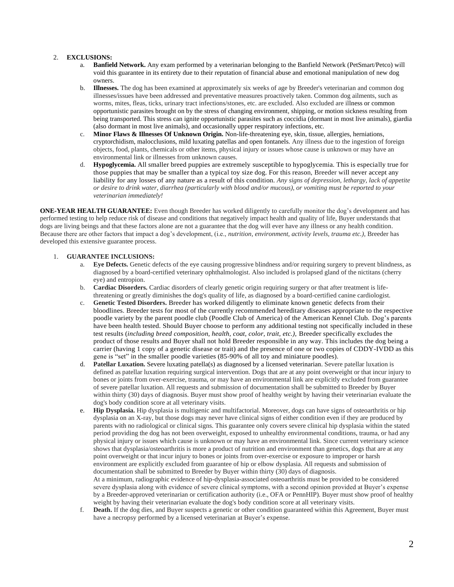### 2. **EXCLUSIONS:**

- a. **Banfield Network.** Any exam performed by a veterinarian belonging to the Banfield Network (PetSmart/Petco) will void this guarantee in its entirety due to their reputation of financial abuse and emotional manipulation of new dog owners.
- b. **Illnesses.** The dog has been examined at approximately six weeks of age by Breeder's veterinarian and common dog illnesses/issues have been addressed and preventative measures proactively taken. Common dog ailments, such as worms, mites, fleas, ticks, urinary tract infections/stones, etc. are excluded. Also excluded are illness or common opportunistic parasites brought on by the stress of changing environment, shipping, or motion sickness resulting from being transported. This stress can ignite opportunistic parasites such as coccidia (dormant in most live animals), giardia (also dormant in most live animals), and occasionally upper respiratory infections, etc.
- c. **Minor Flaws & Illnesses Of Unknown Origin.** Non-life-threatening eye, skin, tissue, allergies, herniations, cryptorchidism, malocclusions, mild luxating patellas and open fontanels. Any illness due to the ingestion of foreign objects, food, plants, chemicals or other items, physical injury or issues whose cause is unknown or may have an environmental link or illnesses from unknown causes.
- d. **Hypoglycemia.** All smaller breed puppies are extremely susceptible to hypoglycemia. This is especially true for those puppies that may be smaller than a typical toy size dog. For this reason, Breeder will never accept any liability for any losses of any nature as a result of this condition. *Any signs of depression, lethargy, lack of appetite or desire to drink water, diarrhea (particularly with blood and/or mucous), or vomiting must be reported to your veterinarian immediately!*

**ONE-YEAR HEALTH GUARANTEE:** Even though Breeder has worked diligently to carefully monitor the dog's development and has performed testing to help reduce risk of disease and conditions that negatively impact health and quality of life, Buyer understands that dogs are living beings and that these factors alone are not a guarantee that the dog will ever have any illness or any health condition. Because there are other factors that impact a dog's development, (i.e., *nutrition, environment, activity levels, trauma etc.),* Breeder has developed this extensive guarantee process.

### 1. **GUARANTEE INCLUSIONS:**

- a. **Eye Defects.** Genetic defects of the eye causing progressive blindness and/or requiring surgery to prevent blindness, as diagnosed by a board-certified veterinary ophthalmologist. Also included is prolapsed gland of the nictitans (cherry eye) and entropion.
- b. **Cardiac Disorders.** Cardiac disorders of clearly genetic origin requiring surgery or that after treatment is lifethreatening or greatly diminishes the dog's quality of life, as diagnosed by a board-certified canine cardiologist.
- c. **Genetic Tested Disorders.** Breeder has worked diligently to eliminate known genetic defects from their bloodlines. Breeder tests for most of the currently recommended hereditary diseases appropriate to the respective poodle variety by the parent poodle club (Poodle Club of America) of the American Kennel Club. Dog's parents have been health tested. Should Buyer choose to perform any additional testing not specifically included in these test results (*including breed composition, health, coat, color, trait, etc.),* Breeder specifically excludes the product of those results and Buyer shall not hold Breeder responsible in any way. This includes the dog being a carrier (having 1 copy of a genetic disease or trait) and the presence of one or two copies of CDDY-IVDD as this gene is "set" in the smaller poodle varieties (85-90% of all toy and miniature poodles).
- d. **Patellar Luxation.** Severe luxating patella(s) as diagnosed by a licensed veterinarian. Severe patellar luxation is defined as patellar luxation requiring surgical intervention. Dogs that are at any point overweight or that incur injury to bones or joints from over-exercise, trauma, or may have an environmental link are explicitly excluded from guarantee of severe patellar luxation. All requests and submission of documentation shall be submitted to Breeder by Buyer within thirty (30) days of diagnosis. Buyer must show proof of healthy weight by having their veterinarian evaluate the dog's body condition score at all veterinary visits.
- e. **Hip Dysplasia.** Hip dysplasia is multigenic and multifactorial. Moreover, dogs can have signs of osteoarthritis or hip dysplasia on an X-ray, but those dogs may never have clinical signs of either condition even if they are produced by parents with no radiological or clinical signs. This guarantee only covers severe clinical hip dysplasia within the stated period providing the dog has not been overweight, exposed to unhealthy environmental conditions, trauma, or had any physical injury or issues which cause is unknown or may have an environmental link. Since current veterinary science shows that dysplasia/osteoarthritis is more a product of nutrition and environment than genetics, dogs that are at any point overweight or that incur injury to bones or joints from over-exercise or exposure to improper or harsh environment are explicitly excluded from guarantee of hip or elbow dysplasia. All requests and submission of documentation shall be submitted to Breeder by Buyer within thirty (30) days of diagnosis. At a minimum, radiographic evidence of hip-dysplasia-associated osteoarthritis must be provided to be considered severe dysplasia along with evidence of severe clinical symptoms, with a second opinion provided at Buyer's expense by a Breeder-approved veterinarian or certification authority (i.e., OFA or PennHIP). Buyer must show proof of healthy weight by having their veterinarian evaluate the dog's body condition score at all veterinary visits.
- f. **Death.** If the dog dies, and Buyer suspects a genetic or other condition guaranteed within this Agreement, Buyer must have a necropsy performed by a licensed veterinarian at Buyer's expense.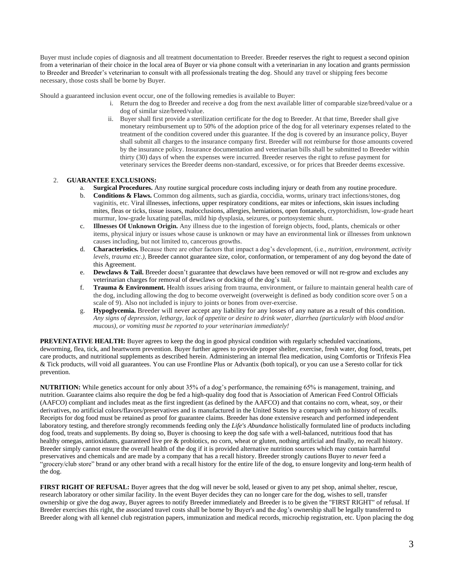Buyer must include copies of diagnosis and all treatment documentation to Breeder. Breeder reserves the right to request a second opinion from a veterinarian of their choice in the local area of Buyer or via phone consult with a veterinarian in any location and grants permission to Breeder and Breeder's veterinarian to consult with all professionals treating the dog. Should any travel or shipping fees become necessary, those costs shall be borne by Buyer.

Should a guaranteed inclusion event occur, one of the following remedies is available to Buyer:

- i. Return the dog to Breeder and receive a dog from the next available litter of comparable size/breed/value or a dog of similar size/breed/value.
- ii. Buyer shall first provide a sterilization certificate for the dog to Breeder. At that time, Breeder shall give monetary reimbursement up to 50% of the adoption price of the dog for all veterinary expenses related to the treatment of the condition covered under this guarantee. If the dog is covered by an insurance policy, Buyer shall submit all charges to the insurance company first. Breeder will not reimburse for those amounts covered by the insurance policy. Insurance documentation and veterinarian bills shall be submitted to Breeder within thirty (30) days of when the expenses were incurred. Breeder reserves the right to refuse payment for veterinary services the Breeder deems non-standard, excessive, or for prices that Breeder deems excessive.

## 2. **GUARANTEE EXCLUSIONS:**

- a. **Surgical Procedures.** Any routine surgical procedure costs including injury or death from any routine procedure.
- b. **Conditions & Flaws.** Common dog ailments, such as giardia, coccidia, worms, urinary tract infections/stones, dog vaginitis, etc. Viral illnesses, infections, upper respiratory conditions, ear mites or infections, skin issues including mites, fleas or ticks, tissue issues, malocclusions, allergies, herniations, open fontanels, cryptorchidism, low-grade heart murmur, low-grade luxating patellas, mild hip dysplasia, seizures, or portosystemic shunt.
- c. **Illnesses Of Unknown Origin.** Any illness due to the ingestion of foreign objects, food, plants, chemicals or other items, physical injury or issues whose cause is unknown or may have an environmental link or illnesses from unknown causes including, but not limited to, cancerous growths.
- d. **Characteristics.** Because there are other factors that impact a dog's development, (i.e., *nutrition, environment, activity levels, trauma etc.),* Breeder cannot guarantee size, color, conformation, or temperament of any dog beyond the date of this Agreement.
- e. **Dewclaws & Tail.** Breeder doesn't guarantee that dewclaws have been removed or will not re-grow and excludes any veterinarian charges for removal of dewclaws or docking of the dog's tail.
- f. **Trauma & Environment.** Health issues arising from trauma, environment, or failure to maintain general health care of the dog, including allowing the dog to become overweight (overweight is defined as body condition score over 5 on a scale of 9). Also not included is injury to joints or bones from over-exercise.
- g. **Hypoglycemia.** Breeder will never accept any liability for any losses of any nature as a result of this condition. *Any signs of depression, lethargy, lack of appetite or desire to drink water, diarrhea (particularly with blood and/or mucous), or vomiting must be reported to your veterinarian immediately!*

**PREVENTATIVE HEALTH:** Buyer agrees to keep the dog in good physical condition with regularly scheduled vaccinations, deworming, flea, tick, and heartworm prevention. Buyer further agrees to provide proper shelter, exercise, fresh water, dog food, treats, pet care products, and nutritional supplements as described herein. Administering an internal flea medication, using Comfortis or Trifexis Flea & Tick products, will void all guarantees. You can use Frontline Plus or Advantix (both topical), or you can use a Seresto collar for tick prevention.

**NUTRITION:** While genetics account for only about 35% of a dog's performance, the remaining 65% is management, training, and nutrition. Guarantee claims also require the dog be fed a high-quality dog food that is Association of American Feed Control Officials (AAFCO) compliant and includes meat as the first ingredient (as defined by the AAFCO) and that contains no corn, wheat, soy, or their derivatives, no artificial colors/flavors/preservatives and is manufactured in the United States by a company with no history of recalls. Receipts for dog food must be retained as proof for guarantee claims. Breeder has done extensive research and performed independent laboratory testing, and therefore strongly recommends feeding only the *Life's Abundance* holistically formulated line of products including dog food, treats and supplements. By doing so, Buyer is choosing to keep the dog safe with a well-balanced, nutritious food that has healthy omegas, antioxidants, guaranteed live pre & probiotics, no corn, wheat or gluten, nothing artificial and finally, no recall history. Breeder simply cannot ensure the overall health of the dog if it is provided alternative nutrition sources which may contain harmful preservatives and chemicals and are made by a company that has a recall history. Breeder strongly cautions Buyer to *never* feed a "grocery/club store" brand or any other brand with a recall history for the entire life of the dog, to ensure longevity and long-term health of the dog.

**FIRST RIGHT OF REFUSAL:** Buyer agrees that the dog will never be sold, leased or given to any pet shop, animal shelter, rescue, research laboratory or other similar facility. In the event Buyer decides they can no longer care for the dog, wishes to sell, transfer ownership or give the dog away, Buyer agrees to notify Breeder immediately and Breeder is to be given the "FIRST RIGHT" of refusal. If Breeder exercises this right, the associated travel costs shall be borne by Buyer's and the dog's ownership shall be legally transferred to Breeder along with all kennel club registration papers, immunization and medical records, microchip registration, etc. Upon placing the dog